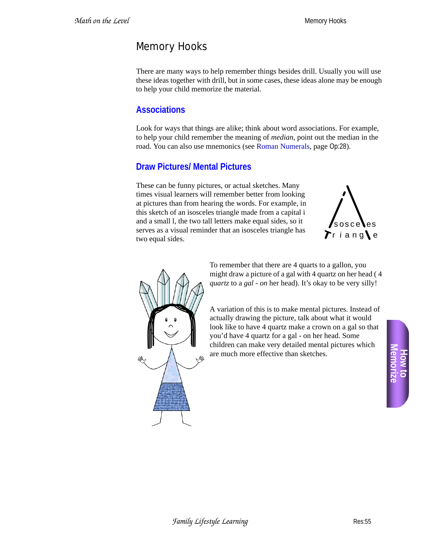# Memory Hooks

There are many ways to help remember things besides drill. Usually you will use these ideas together with drill, but in some cases, these ideas alone may be enough to help your child memorize the material.

#### **Associations**

Look for ways that things are alike; think about word associations. For example, to help your child remember the meaning of *median*, point out the median in the road. You can also use mnemonics (see Roman Numerals, page Op:28).

## **Draw Pictures/ Mental Pictures**

These can be funny pictures, or actual sketches. Many times visual learners will remember better from looking at pictures than from hearing the words. For example, in this sketch of an isosceles triangle made from a capital i and a small l, the two tall letters make equal sides, so it serves as a visual reminder that an isosceles triangle has two equal sides.





To remember that there are 4 quarts to a gallon, you might draw a picture of a gal with 4 quartz on her head ( 4 *quartz* to a *gal - on* her head). It's okay to be very silly!

A variation of this is to make mental pictures. Instead of actually drawing the picture, talk about what it would look like to have 4 quartz make a crown on a gal so that you'd have 4 quartz for a gal - on her head. Some children can make very detailed mental pictures which are much more effective than sketches.